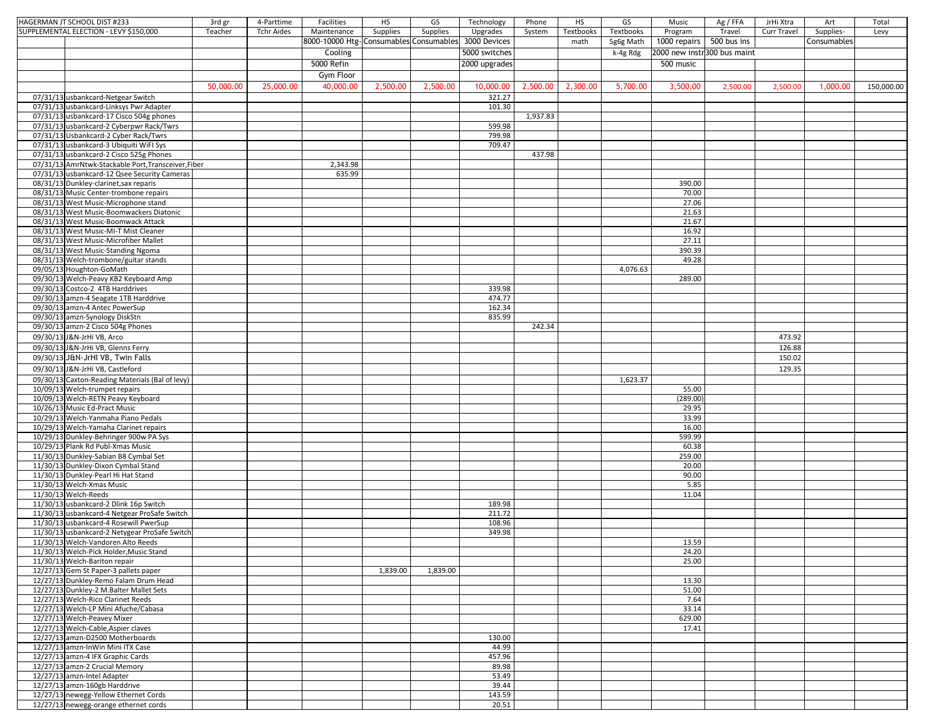| HAGERMAN JT SCHOOL DIST #233                                              | 3rd gr    | 4-Parttime        | Facilities                                          | HS       | GS       | Technology    | Phone    | HS        | GS        | Music                       | Ag / FFA | JrHi Xtra   | Art         | Total      |
|---------------------------------------------------------------------------|-----------|-------------------|-----------------------------------------------------|----------|----------|---------------|----------|-----------|-----------|-----------------------------|----------|-------------|-------------|------------|
| SUPPLEMENTAL ELECTION - LEVY \$150,000                                    | Teacher   | <b>Tchr Aides</b> | Maintenance                                         | Supplies | Supplies | Upgrades      | System   | Textbooks | Textbooks | Program                     | Travel   | Curr Travel | Supplies-   | Levy       |
|                                                                           |           |                   | 8000-10000 Htg-Consumables Consumables 3000 Devices |          |          |               |          | math      | 5g6g Math | 1000 repairs 500 bus ins    |          |             | Consumables |            |
|                                                                           |           |                   | Cooling                                             |          |          | 5000 switches |          |           | k-4g Rdg  | 2000 new instr300 bus maint |          |             |             |            |
|                                                                           |           |                   | 5000 Refin                                          |          |          | 2000 upgrades |          |           |           | 500 music                   |          |             |             |            |
|                                                                           |           |                   | Gym Floor                                           |          |          |               |          |           |           |                             |          |             |             |            |
|                                                                           |           |                   |                                                     |          |          |               |          |           |           |                             |          |             |             |            |
|                                                                           | 50,000.00 | 25,000.00         | 40,000.00                                           | 2,500.00 | 2,500.00 | 10,000.00     | 2,500.00 | 2,300.00  | 5,700.00  | 3,500.00                    | 2,500.00 | 2,500.00    | 1,000.00    | 150,000.00 |
| 07/31/13 usbankcard-Netgear Switch                                        |           |                   |                                                     |          |          | 321.27        |          |           |           |                             |          |             |             |            |
| 07/31/13 usbankcard-Linksys Pwr Adapter                                   |           |                   |                                                     |          |          | 101.30        |          |           |           |                             |          |             |             |            |
| 07/31/13 usbankcard-17 Cisco 504g phones                                  |           |                   |                                                     |          |          |               | 1,937.83 |           |           |                             |          |             |             |            |
| 07/31/13 usbankcard-2 Cyberpwr Rack/Twrs                                  |           |                   |                                                     |          |          | 599.98        |          |           |           |                             |          |             |             |            |
| 07/31/13 Usbankcard-2 Cyber Rack/Twrs                                     |           |                   |                                                     |          |          | 799.98        |          |           |           |                             |          |             |             |            |
| 07/31/13 usbankcard-3 Ubiquiti WiFI Sys                                   |           |                   |                                                     |          |          | 709.47        |          |           |           |                             |          |             |             |            |
| 07/31/13 usbankcard-2 Cisco 525g Phones                                   |           |                   |                                                     |          |          |               | 437.98   |           |           |                             |          |             |             |            |
| 07/31/13 AmrNtwk-Stackable Port, Transceiver, Fiber                       |           |                   | 2,343.98                                            |          |          |               |          |           |           |                             |          |             |             |            |
| 07/31/13 usbankcard-12 Qsee Security Cameras                              |           |                   | 635.99                                              |          |          |               |          |           |           |                             |          |             |             |            |
| 08/31/13 Dunkley-clarinet, sax reparis                                    |           |                   |                                                     |          |          |               |          |           |           | 390.00                      |          |             |             |            |
| 08/31/13 Music Center-trombone repairs                                    |           |                   |                                                     |          |          |               |          |           |           | 70.00                       |          |             |             |            |
| 08/31/13 West Music-Microphone stand                                      |           |                   |                                                     |          |          |               |          |           |           | 27.06                       |          |             |             |            |
| 08/31/13 West Music-Boomwackers Diatonic                                  |           |                   |                                                     |          |          |               |          |           |           | 21.63                       |          |             |             |            |
| 08/31/13 West Music-Boomwack Attack                                       |           |                   |                                                     |          |          |               |          |           |           | 21.67                       |          |             |             |            |
| 08/31/13 West Music-MI-T Mist Cleaner                                     |           |                   |                                                     |          |          |               |          |           |           | 16.92<br>27.11              |          |             |             |            |
| 08/31/13 West Music-Microfiber Mallet                                     |           |                   |                                                     |          |          |               |          |           |           |                             |          |             |             |            |
| 08/31/13 West Music-Standing Ngoma                                        |           |                   |                                                     |          |          |               |          |           |           | 390.39                      |          |             |             |            |
| 08/31/13 Welch-trombone/guitar stands                                     |           |                   |                                                     |          |          |               |          |           |           | 49.28                       |          |             |             |            |
| 09/05/13 Houghton-GoMath                                                  |           |                   |                                                     |          |          |               |          |           | 4,076.63  |                             |          |             |             |            |
| 09/30/13 Welch-Peavy KB2 Keyboard Amp<br>09/30/13 Costco-2 4TB Harddrives |           |                   |                                                     |          |          | 339.98        |          |           |           | 289.00                      |          |             |             |            |
|                                                                           |           |                   |                                                     |          |          | 474.77        |          |           |           |                             |          |             |             |            |
| 09/30/13 amzn-4 Seagate 1TB Harddrive                                     |           |                   |                                                     |          |          | 162.34        |          |           |           |                             |          |             |             |            |
| 09/30/13 amzn-4 Antec PowerSup<br>09/30/13 amzn-Synology DiskStn          |           |                   |                                                     |          |          | 835.99        |          |           |           |                             |          |             |             |            |
|                                                                           |           |                   |                                                     |          |          |               | 242.34   |           |           |                             |          |             |             |            |
| 09/30/13 amzn-2 Cisco 504g Phones                                         |           |                   |                                                     |          |          |               |          |           |           |                             |          |             |             |            |
| 09/30/13 J&N-JrHi VB, Arco                                                |           |                   |                                                     |          |          |               |          |           |           |                             |          | 473.92      |             |            |
| 09/30/13 J&N-JrHi VB, Glenns Ferry                                        |           |                   |                                                     |          |          |               |          |           |           |                             |          | 126.88      |             |            |
| 09/30/13 J&N-JrHI VB, Twin Falls                                          |           |                   |                                                     |          |          |               |          |           |           |                             |          | 150.02      |             |            |
| 09/30/13 J&N-JrHi VB, Castleford                                          |           |                   |                                                     |          |          |               |          |           |           |                             |          | 129.35      |             |            |
| 09/30/13 Caxton-Reading Materials (Bal of levy)                           |           |                   |                                                     |          |          |               |          |           | 1,623.37  |                             |          |             |             |            |
| 10/09/13 Welch-trumpet repairs                                            |           |                   |                                                     |          |          |               |          |           |           | 55.00                       |          |             |             |            |
| 10/09/13 Welch-RETN Peavy Keyboard                                        |           |                   |                                                     |          |          |               |          |           |           | (289.00)                    |          |             |             |            |
| 10/26/13 Music Ed-Pract Music                                             |           |                   |                                                     |          |          |               |          |           |           | 29.95                       |          |             |             |            |
| 10/29/13 Welch-Yanmaha Piano Pedals                                       |           |                   |                                                     |          |          |               |          |           |           | 33.99                       |          |             |             |            |
| 10/29/13 Welch-Yamaha Clarinet repairs                                    |           |                   |                                                     |          |          |               |          |           |           | 16.00                       |          |             |             |            |
| 10/29/13 Dunkley-Behringer 900w PA Sys                                    |           |                   |                                                     |          |          |               |          |           |           | 599.99                      |          |             |             |            |
| 10/29/13 Plank Rd Publ-Xmas Music                                         |           |                   |                                                     |          |          |               |          |           |           | 60.38                       |          |             |             |            |
| 11/30/13 Dunkley-Sabian B8 Cymbal Set                                     |           |                   |                                                     |          |          |               |          |           |           | 259.00                      |          |             |             |            |
| 11/30/13 Dunkley-Dixon Cymbal Stand                                       |           |                   |                                                     |          |          |               |          |           |           | 20.00                       |          |             |             |            |
| 11/30/13 Dunkley-Pearl Hi Hat Stand                                       |           |                   |                                                     |          |          |               |          |           |           | 90.00                       |          |             |             |            |
| 11/30/13 Welch-Xmas Music                                                 |           |                   |                                                     |          |          |               |          |           |           | 5.85                        |          |             |             |            |
| 11/30/13 Welch-Reeds                                                      |           |                   |                                                     |          |          |               |          |           |           | 11.04                       |          |             |             |            |
| 11/30/13 usbankcard-2 Dlink 16p Switch                                    |           |                   |                                                     |          |          | 189.98        |          |           |           |                             |          |             |             |            |
| 11/30/13 usbankcard-4 Netgear ProSafe Switch                              |           |                   |                                                     |          |          | 211.72        |          |           |           |                             |          |             |             |            |
| 11/30/13 usbankcard-4 Rosewill PwerSup                                    |           |                   |                                                     |          |          | 108.96        |          |           |           |                             |          |             |             |            |
| 11/30/13 usbankcard-2 Netygear ProSafe Switch                             |           |                   |                                                     |          |          | 349.98        |          |           |           |                             |          |             |             |            |
| 11/30/13 Welch-Vandoren Alto Reeds                                        |           |                   |                                                     |          |          |               |          |           |           | 13.59                       |          |             |             |            |
| 11/30/13 Welch-Pick Holder, Music Stand                                   |           |                   |                                                     |          |          |               |          |           |           | 24.20                       |          |             |             |            |
| 11/30/13 Welch-Bariton repair                                             |           |                   |                                                     |          |          |               |          |           |           | 25.00                       |          |             |             |            |
| 12/27/13 Gem St Paper-3 pallets paper                                     |           |                   |                                                     | 1,839.00 | 1,839.00 |               |          |           |           |                             |          |             |             |            |
| 12/27/13 Dunkley-Remo Falam Drum Head                                     |           |                   |                                                     |          |          |               |          |           |           | 13.30                       |          |             |             |            |
| 12/27/13 Dunkley-2 M.Balter Mallet Sets                                   |           |                   |                                                     |          |          |               |          |           |           | 51.00                       |          |             |             |            |
| 12/27/13 Welch-Rico Clarinet Reeds                                        |           |                   |                                                     |          |          |               |          |           |           | 7.64                        |          |             |             |            |
| 12/27/13 Welch-LP Mini Afuche/Cabasa                                      |           |                   |                                                     |          |          |               |          |           |           | 33.14                       |          |             |             |            |
| 12/27/13 Welch-Peavey Mixer                                               |           |                   |                                                     |          |          |               |          |           |           | 629.00                      |          |             |             |            |
| 12/27/13 Welch-Cable, Aspier claves                                       |           |                   |                                                     |          |          |               |          |           |           | 17.41                       |          |             |             |            |
| 12/27/13 amzn-D2500 Motherboards                                          |           |                   |                                                     |          |          | 130.00        |          |           |           |                             |          |             |             |            |
| 12/27/13 amzn-InWin Mini ITX Case                                         |           |                   |                                                     |          |          | 44.99         |          |           |           |                             |          |             |             |            |
| 12/27/13 amzn-4 IFX Graphic Cards                                         |           |                   |                                                     |          |          | 457.96        |          |           |           |                             |          |             |             |            |
| 12/27/13 amzn-2 Crucial Memory                                            |           |                   |                                                     |          |          | 89.98         |          |           |           |                             |          |             |             |            |
| 12/27/13 amzn-Intel Adapter                                               |           |                   |                                                     |          |          | 53.49         |          |           |           |                             |          |             |             |            |
| 12/27/13 amzn-160gb Harddrive                                             |           |                   |                                                     |          |          | 39.44         |          |           |           |                             |          |             |             |            |
| 12/27/13 newegg-Yellow Ethernet Cords                                     |           |                   |                                                     |          |          | 143.59        |          |           |           |                             |          |             |             |            |
| 12/27/13 newegg-orange ethernet cords                                     |           |                   |                                                     |          |          | 20.51         |          |           |           |                             |          |             |             |            |
|                                                                           |           |                   |                                                     |          |          |               |          |           |           |                             |          |             |             |            |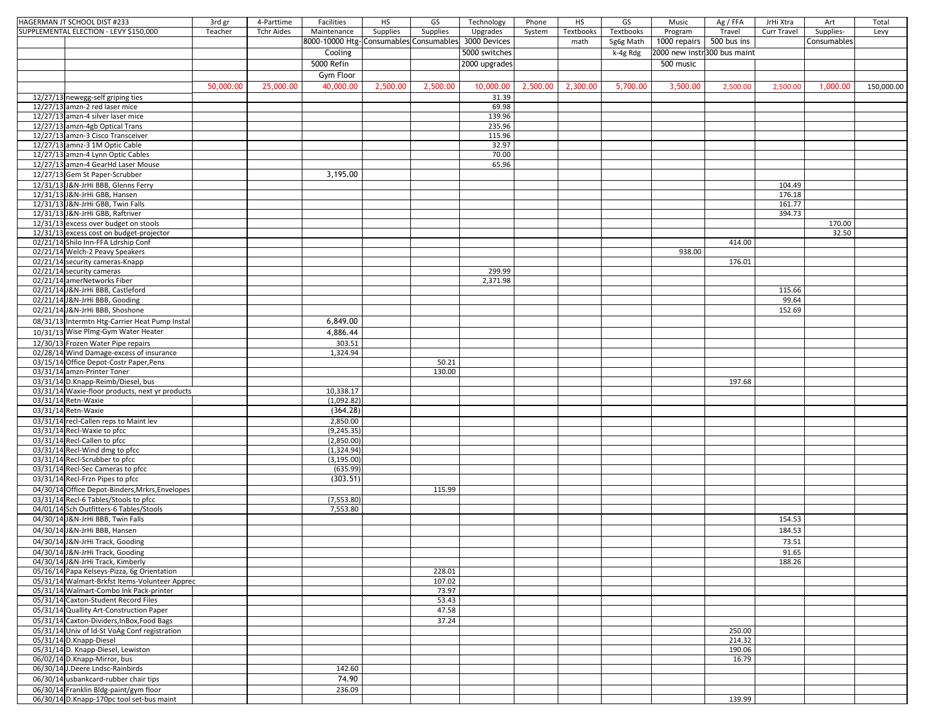| HAGERMAN JT SCHOOL DIST #233                    | 3rd gr    | 4-Parttime        | Facilities                                          | HS       | GS       | Technology    | Phone    | HS        | GS        | Music                       | Ag / FFA | JrHi Xtra   | Art         | Total      |
|-------------------------------------------------|-----------|-------------------|-----------------------------------------------------|----------|----------|---------------|----------|-----------|-----------|-----------------------------|----------|-------------|-------------|------------|
| SUPPLEMENTAL ELECTION - LEVY \$150,000          | Teacher   | <b>Tchr Aides</b> | Maintenance                                         | Supplies | Supplies | Upgrades      | System   | Textbooks | Textbooks | Program                     | Travel   | Curr Travel | Supplies-   | Levy       |
|                                                 |           |                   | 8000-10000 Htg-Consumables Consumables 3000 Devices |          |          |               |          | math      | 5g6g Math | 1000 repairs 500 bus ins    |          |             | Consumables |            |
|                                                 |           |                   | Cooling                                             |          |          | 5000 switches |          |           | k-4g Rdg  | 2000 new instr300 bus maint |          |             |             |            |
|                                                 |           |                   | 5000 Refin                                          |          |          | 2000 upgrades |          |           |           | 500 music                   |          |             |             |            |
|                                                 |           |                   |                                                     |          |          |               |          |           |           |                             |          |             |             |            |
|                                                 |           |                   | Gym Floor                                           |          |          |               |          |           |           |                             |          |             |             |            |
|                                                 | 50,000.00 | 25,000.00         | 40,000.00                                           | 2,500.00 | 2,500.00 | 10,000.00     | 2,500.00 | 2,300.00  | 5,700.00  | 3,500.00                    | 2,500.00 | 2,500.00    | 1,000.00    | 150,000.00 |
| 12/27/13 newegg-self griping ties               |           |                   |                                                     |          |          | 31.39         |          |           |           |                             |          |             |             |            |
| 12/27/13 amzn-2 red laser mice                  |           |                   |                                                     |          |          | 69.98         |          |           |           |                             |          |             |             |            |
| 12/27/13 amzn-4 silver laser mice               |           |                   |                                                     |          |          | 139.96        |          |           |           |                             |          |             |             |            |
| 12/27/13 amzn-4gb Optical Trans                 |           |                   |                                                     |          |          | 235.96        |          |           |           |                             |          |             |             |            |
| 12/27/13 amzn-3 Cisco Transceiver               |           |                   |                                                     |          |          | 115.96        |          |           |           |                             |          |             |             |            |
| 12/27/13 amnz-3 1M Optic Cable                  |           |                   |                                                     |          |          | 32.97         |          |           |           |                             |          |             |             |            |
| 12/27/13 amzn-4 Lynn Optic Cables               |           |                   |                                                     |          |          | 70.00         |          |           |           |                             |          |             |             |            |
| 12/27/13 amzn-4 GearHd Laser Mouse              |           |                   |                                                     |          |          | 65.96         |          |           |           |                             |          |             |             |            |
| 12/27/13 Gem St Paper-Scrubber                  |           |                   | 3,195.00                                            |          |          |               |          |           |           |                             |          |             |             |            |
| 12/31/13 J&N-JrHi BBB, Glenns Ferry             |           |                   |                                                     |          |          |               |          |           |           |                             |          | 104.49      |             |            |
| 12/31/13 J&N-JrHi GBB, Hansen                   |           |                   |                                                     |          |          |               |          |           |           |                             |          | 176.18      |             |            |
| 12/31/13 J&N-JrHi GBB, Twin Falls               |           |                   |                                                     |          |          |               |          |           |           |                             |          | 161.77      |             |            |
| 12/31/13 J&N-JrHi GBB, Raftriver                |           |                   |                                                     |          |          |               |          |           |           |                             |          | 394.73      |             |            |
| 12/31/13 excess over budget on stools           |           |                   |                                                     |          |          |               |          |           |           |                             |          |             | 170.00      |            |
| 12/31/13 excess cost on budget-projector        |           |                   |                                                     |          |          |               |          |           |           |                             |          |             | 32.50       |            |
| 02/21/14 Shilo Inn-FFA Ldrship Conf             |           |                   |                                                     |          |          |               |          |           |           |                             | 414.00   |             |             |            |
| 02/21/14 Welch-2 Peavy Speakers                 |           |                   |                                                     |          |          |               |          |           |           | 938.00                      |          |             |             |            |
| 02/21/14 security cameras-Knapp                 |           |                   |                                                     |          |          |               |          |           |           |                             | 176.01   |             |             |            |
| 02/21/14 security cameras                       |           |                   |                                                     |          |          | 299.99        |          |           |           |                             |          |             |             |            |
| 02/21/14 amerNetworks Fiber                     |           |                   |                                                     |          |          | 2,371.98      |          |           |           |                             |          |             |             |            |
| 02/21/14 J&N-JrHi BBB, Castleford               |           |                   |                                                     |          |          |               |          |           |           |                             |          | 115.66      |             |            |
| 02/21/14 J&N-JrHi BBB, Gooding                  |           |                   |                                                     |          |          |               |          |           |           |                             |          | 99.64       |             |            |
| 02/21/14 J&N-JrHi BBB, Shoshone                 |           |                   |                                                     |          |          |               |          |           |           |                             |          | 152.69      |             |            |
| 08/31/13 Intermtn Htg-Carrier Heat Pump Instal  |           |                   | 6,849.00                                            |          |          |               |          |           |           |                             |          |             |             |            |
| 10/31/13 Wise Plmg-Gym Water Heater             |           |                   |                                                     |          |          |               |          |           |           |                             |          |             |             |            |
|                                                 |           |                   | 4,886.44                                            |          |          |               |          |           |           |                             |          |             |             |            |
| 12/30/13 Frozen Water Pipe repairs              |           |                   | 303.51                                              |          |          |               |          |           |           |                             |          |             |             |            |
| 02/28/14 Wind Damage-excess of insurance        |           |                   | 1,324.94                                            |          |          |               |          |           |           |                             |          |             |             |            |
| 03/15/14 Office Depot-Costr Paper, Pens         |           |                   |                                                     |          | 50.21    |               |          |           |           |                             |          |             |             |            |
| 03/31/14 amzn-Printer Toner                     |           |                   |                                                     |          | 130.00   |               |          |           |           |                             |          |             |             |            |
| 03/31/14 D.Knapp-Reimb/Diesel, bus              |           |                   |                                                     |          |          |               |          |           |           |                             | 197.68   |             |             |            |
| 03/31/14 Waxie-floor products, next yr products |           |                   | 10,338.17                                           |          |          |               |          |           |           |                             |          |             |             |            |
| 03/31/14 Retn-Waxie                             |           |                   | (1,092.82)                                          |          |          |               |          |           |           |                             |          |             |             |            |
| 03/31/14 Retn-Waxie                             |           |                   | (364.28)                                            |          |          |               |          |           |           |                             |          |             |             |            |
| 03/31/14 recl-Callen reps to Maint lev          |           |                   | 2,850.00                                            |          |          |               |          |           |           |                             |          |             |             |            |
| 03/31/14 Recl-Waxie to pfcc                     |           |                   | (9, 245.35)                                         |          |          |               |          |           |           |                             |          |             |             |            |
| 03/31/14 Recl-Callen to pfcc                    |           |                   | (2,850.00)                                          |          |          |               |          |           |           |                             |          |             |             |            |
| 03/31/14 Recl-Wind dmg to pfcc                  |           |                   | (1,324.94)                                          |          |          |               |          |           |           |                             |          |             |             |            |
| 03/31/14 Recl-Scrubber to pfcc                  |           |                   | (3, 195.00)                                         |          |          |               |          |           |           |                             |          |             |             |            |
| 03/31/14 Recl-Sec Cameras to pfcc               |           |                   | (635.99)                                            |          |          |               |          |           |           |                             |          |             |             |            |
| 03/31/14 Recl-Frzn Pipes to pfcc                |           |                   | (303.51)                                            |          |          |               |          |           |           |                             |          |             |             |            |
| 04/30/14 Office Depot-Binders, Mrkrs, Envelopes |           |                   |                                                     |          | 115.99   |               |          |           |           |                             |          |             |             |            |
| 03/31/14 Recl-6 Tables/Stools to pfcc           |           |                   | (7, 553.80)                                         |          |          |               |          |           |           |                             |          |             |             |            |
| 04/01/14 Sch Outfitters-6 Tables/Stools         |           |                   | 7,553.80                                            |          |          |               |          |           |           |                             |          |             |             |            |
| 04/30/14 J&N-JrHi BBB, Twin Falls               |           |                   |                                                     |          |          |               |          |           |           |                             |          | 154.53      |             |            |
| 04/30/14 J&N-JrHi BBB, Hansen                   |           |                   |                                                     |          |          |               |          |           |           |                             |          | 184.53      |             |            |
| 04/30/14 J&N-JrHi Track, Gooding                |           |                   |                                                     |          |          |               |          |           |           |                             |          | 73.51       |             |            |
|                                                 |           |                   |                                                     |          |          |               |          |           |           |                             |          |             |             |            |
| 04/30/14 J&N-JrHi Track, Gooding                |           |                   |                                                     |          |          |               |          |           |           |                             |          | 91.65       |             |            |
| 04/30/14 J&N-JrHi Track, Kimberly               |           |                   |                                                     |          |          |               |          |           |           |                             |          | 188.26      |             |            |
| 05/16/14 Papa Kelseys-Pizza, 6g Orientation     |           |                   |                                                     |          | 228.01   |               |          |           |           |                             |          |             |             |            |
| 05/31/14 Walmart-Brkfst Items-Volunteer Apprec  |           |                   |                                                     |          | 107.02   |               |          |           |           |                             |          |             |             |            |
| 05/31/14 Walmart-Combo Ink Pack-printer         |           |                   |                                                     |          | 73.97    |               |          |           |           |                             |          |             |             |            |
| 05/31/14 Caxton-Student Record Files            |           |                   |                                                     |          | 53.43    |               |          |           |           |                             |          |             |             |            |
| 05/31/14 Quallity Art-Construction Paper        |           |                   |                                                     |          | 47.58    |               |          |           |           |                             |          |             |             |            |
| 05/31/14 Caxton-Dividers, InBox, Food Bags      |           |                   |                                                     |          | 37.24    |               |          |           |           |                             |          |             |             |            |
| 05/31/14 Univ of Id-St VoAg Conf registration   |           |                   |                                                     |          |          |               |          |           |           |                             | 250.00   |             |             |            |
| 05/31/14 D.Knapp-Diesel                         |           |                   |                                                     |          |          |               |          |           |           |                             | 214.32   |             |             |            |
| 05/31/14 D. Knapp-Diesel, Lewiston              |           |                   |                                                     |          |          |               |          |           |           |                             | 190.06   |             |             |            |
| 06/02/14 D.Knapp-Mirror, bus                    |           |                   |                                                     |          |          |               |          |           |           |                             | 16.79    |             |             |            |
| 06/30/14 J.Deere Lndsc-Rainbirds                |           |                   | 142.60                                              |          |          |               |          |           |           |                             |          |             |             |            |
| 06/30/14 usbankcard-rubber chair tips           |           |                   | 74.90                                               |          |          |               |          |           |           |                             |          |             |             |            |
| 06/30/14 Franklin Bldg-paint/gym floor          |           |                   | 236.09                                              |          |          |               |          |           |           |                             |          |             |             |            |
| 06/30/14 D.Knapp-170pc tool set-bus maint       |           |                   |                                                     |          |          |               |          |           |           |                             | 139.99   |             |             |            |
|                                                 |           |                   |                                                     |          |          |               |          |           |           |                             |          |             |             |            |